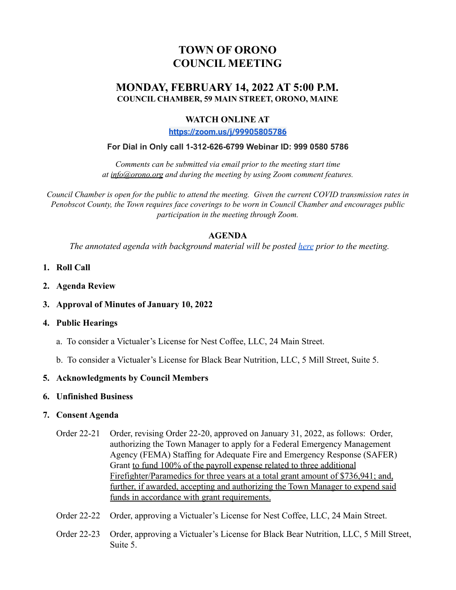# **TOWN OF ORONO COUNCIL MEETING**

## **MONDAY, FEBRUARY 14, 2022 AT 5:00 P.M. COUNCIL CHAMBER, 59 MAIN STREET, ORONO, MAINE**

## **WATCH ONLINE AT**

**<https://zoom.us/j/99905805786>**

#### **For Dial in Only call 1-312-626-6799 Webinar ID: 999 0580 5786**

*Comments can be submitted via email prior to the meeting start time at info@orono.org and during the meeting by using Zoom comment features.*

Council Chamber is open for the public to attend the meeting. Given the current COVID transmission rates in *Penobscot County, the Town requires face coverings to be worn in Council Chamber and encourages public participation in the meeting through Zoom.*

### **AGENDA**

*The annotated agenda with background material will be posted [here](https://drive.google.com/drive/u/0/folders/1swHdg02_5hrB8pMks0T1yIZ__Z9nq6rF) prior to the meeting.*

- **1. Roll Call**
- **2. Agenda Review**
- **3. Approval of Minutes of January 10, 2022**

#### **4. Public Hearings**

- a. To consider a Victualer's License for Nest Coffee, LLC, 24 Main Street.
- b. To consider a Victualer's License for Black Bear Nutrition, LLC, 5 Mill Street, Suite 5.

#### **5. Acknowledgments by Council Members**

#### **6. Unfinished Business**

#### **7. Consent Agenda**

- Order 22-21 Order, revising Order 22-20, approved on January 31, 2022, as follows: Order, authorizing the Town Manager to apply for a Federal Emergency Management Agency (FEMA) Staffing for Adequate Fire and Emergency Response (SAFER) Grant to fund 100% of the payroll expense related to three additional Firefighter/Paramedics for three years at a total grant amount of \$736,941; and, further, if awarded, accepting and authorizing the Town Manager to expend said funds in accordance with grant requirements.
- Order 22-22 Order, approving a Victualer's License for Nest Coffee, LLC, 24 Main Street.
- Order 22-23 Order, approving a Victualer's License for Black Bear Nutrition, LLC, 5 Mill Street, Suite 5.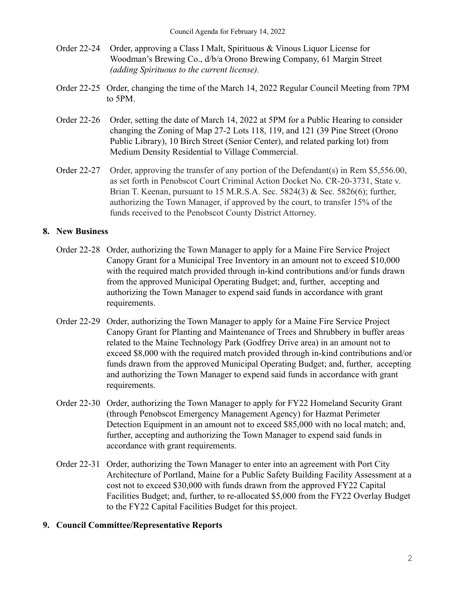- Order 22-24 Order, approving a Class I Malt, Spirituous & Vinous Liquor License for Woodman's Brewing Co., d/b/a Orono Brewing Company, 61 Margin Street *(adding Spirituous to the current license).*
- Order 22-25 Order, changing the time of the March 14, 2022 Regular Council Meeting from 7PM to 5PM.
- Order 22-26 Order, setting the date of March 14, 2022 at 5PM for a Public Hearing to consider changing the Zoning of Map 27-2 Lots 118, 119, and 121 (39 Pine Street (Orono Public Library), 10 Birch Street (Senior Center), and related parking lot) from Medium Density Residential to Village Commercial.
- Order 22-27 Order, approving the transfer of any portion of the Defendant(s) in Rem \$5,556.00, as set forth in Penobscot Court Criminal Action Docket No. CR-20-3731, State v. Brian T. Keenan, pursuant to 15 M.R.S.A. Sec. 5824(3) & Sec. 5826(6); further, authorizing the Town Manager, if approved by the court, to transfer 15% of the funds received to the Penobscot County District Attorney.

## **8. New Business**

- Order 22-28 Order, authorizing the Town Manager to apply for a Maine Fire Service Project Canopy Grant for a Municipal Tree Inventory in an amount not to exceed \$10,000 with the required match provided through in-kind contributions and/or funds drawn from the approved Municipal Operating Budget; and, further, accepting and authorizing the Town Manager to expend said funds in accordance with grant requirements.
- Order 22-29 Order, authorizing the Town Manager to apply for a Maine Fire Service Project Canopy Grant for Planting and Maintenance of Trees and Shrubbery in buffer areas related to the Maine Technology Park (Godfrey Drive area) in an amount not to exceed \$8,000 with the required match provided through in-kind contributions and/or funds drawn from the approved Municipal Operating Budget; and, further, accepting and authorizing the Town Manager to expend said funds in accordance with grant requirements.
- Order 22-30 Order, authorizing the Town Manager to apply for FY22 Homeland Security Grant (through Penobscot Emergency Management Agency) for Hazmat Perimeter Detection Equipment in an amount not to exceed \$85,000 with no local match; and, further, accepting and authorizing the Town Manager to expend said funds in accordance with grant requirements.
- Order 22-31 Order, authorizing the Town Manager to enter into an agreement with Port City Architecture of Portland, Maine for a Public Safety Building Facility Assessment at a cost not to exceed \$30,000 with funds drawn from the approved FY22 Capital Facilities Budget; and, further, to re-allocated \$5,000 from the FY22 Overlay Budget to the FY22 Capital Facilities Budget for this project.

# **9. Council Committee/Representative Reports**